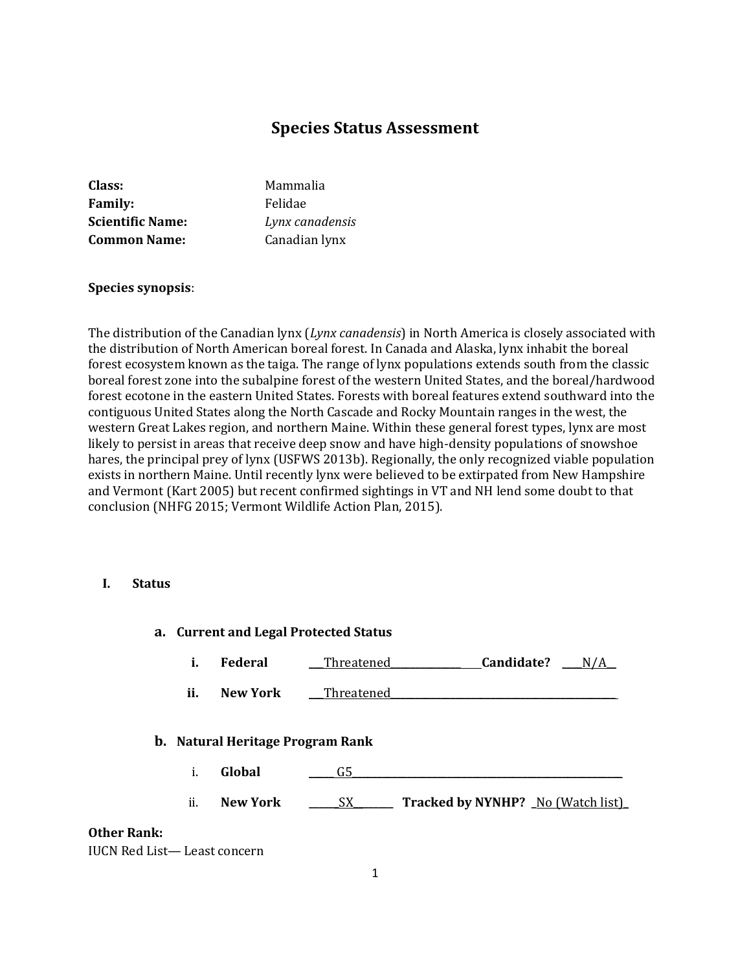# **Species Status Assessment**

| Class:                  | Mammalia        |
|-------------------------|-----------------|
| <b>Family:</b>          | Felidae         |
| <b>Scientific Name:</b> | Lynx canadensis |
| <b>Common Name:</b>     | Canadian lynx   |

#### **Species synopsis**:

The distribution of the Canadian lynx (*Lynx canadensis*) in North America is closely associated with the distribution of North American boreal forest. In Canada and Alaska, lynx inhabit the boreal forest ecosystem known as the taiga. The range of lynx populations extends south from the classic boreal forest zone into the subalpine forest of the western United States, and the boreal/hardwood forest ecotone in the eastern United States. Forests with boreal features extend southward into the contiguous United States along the North Cascade and Rocky Mountain ranges in the west, the western Great Lakes region, and northern Maine. Within these general forest types, lynx are most likely to persist in areas that receive deep snow and have high-density populations of snowshoe hares, the principal prey of lynx (USFWS 2013b). Regionally, the only recognized viable population exists in northern Maine. Until recently lynx were believed to be extirpated from New Hampshire and Vermont (Kart 2005) but recent confirmed sightings in VT and NH lend some doubt to that conclusion (NHFG 2015; Vermont Wildlife Action Plan, 2015).

#### **I. Status**

|      | a. Current and Legal Protected Status |                                  |            |                                     |  |
|------|---------------------------------------|----------------------------------|------------|-------------------------------------|--|
|      | i.                                    | Federal                          | Threatened | Candidate?                          |  |
|      | ii.                                   | <b>New York</b>                  | Threatened |                                     |  |
|      |                                       | b. Natural Heritage Program Rank |            |                                     |  |
|      | i.                                    | Global                           | G5         |                                     |  |
|      | ii.                                   | <b>New York</b>                  | SX_        | Tracked by NYNHP? _ No (Watch list) |  |
| ank: |                                       |                                  |            |                                     |  |

### **Other Ra**

IUCN Red List— Least concern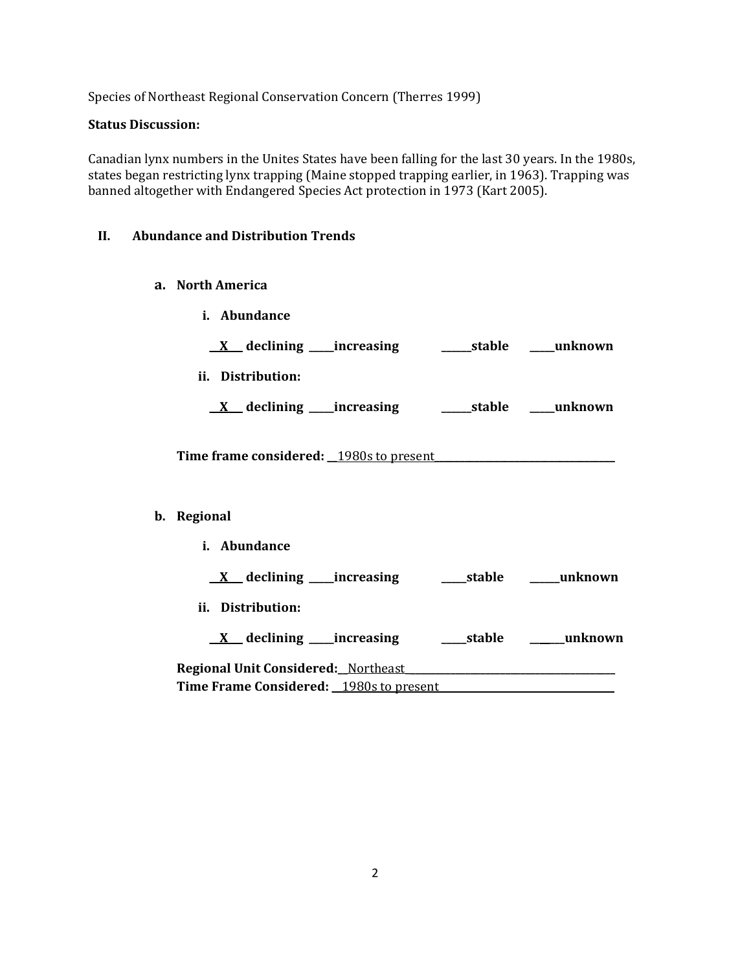Species of Northeast Regional Conservation Concern (Therres 1999)

#### **Status Discussion:**

Canadian lynx numbers in the Unites States have been falling for the last 30 years. In the 1980s, states began restricting lynx trapping (Maine stopped trapping earlier, in 1963). Trapping was banned altogether with Endangered Species Act protection in 1973 (Kart 2005).

#### **II. Abundance and Distribution Trends**

- **a. North America**
- **i. Abundance** \_\_**X**\_\_\_ **declining \_\_\_\_\_increasing \_\_\_\_\_\_stable \_\_\_\_\_unknown ii. Distribution:** \_\_**X**\_\_\_ **declining \_\_\_\_\_increasing \_\_\_\_\_\_stable \_\_\_\_\_unknown** Time frame considered: 1980s to present **b. Regional i. Abundance** \_\_**X**\_\_\_ **declining \_\_\_\_\_increasing \_\_\_\_\_stable \_\_\_\_\_\_unknown ii. Distribution:** \_\_**X**\_\_\_ **declining \_\_\_\_\_increasing \_\_\_\_\_stable \_\_\_\_\_\_\_unknown Regional Unit Considered:\_\_**Northeast\_**\_\_\_\_\_\_\_\_\_\_\_\_\_\_\_\_\_\_\_\_\_\_\_\_\_\_\_\_\_\_\_\_\_\_\_\_\_\_\_\_\_ Time Frame Considered:** 1980s to present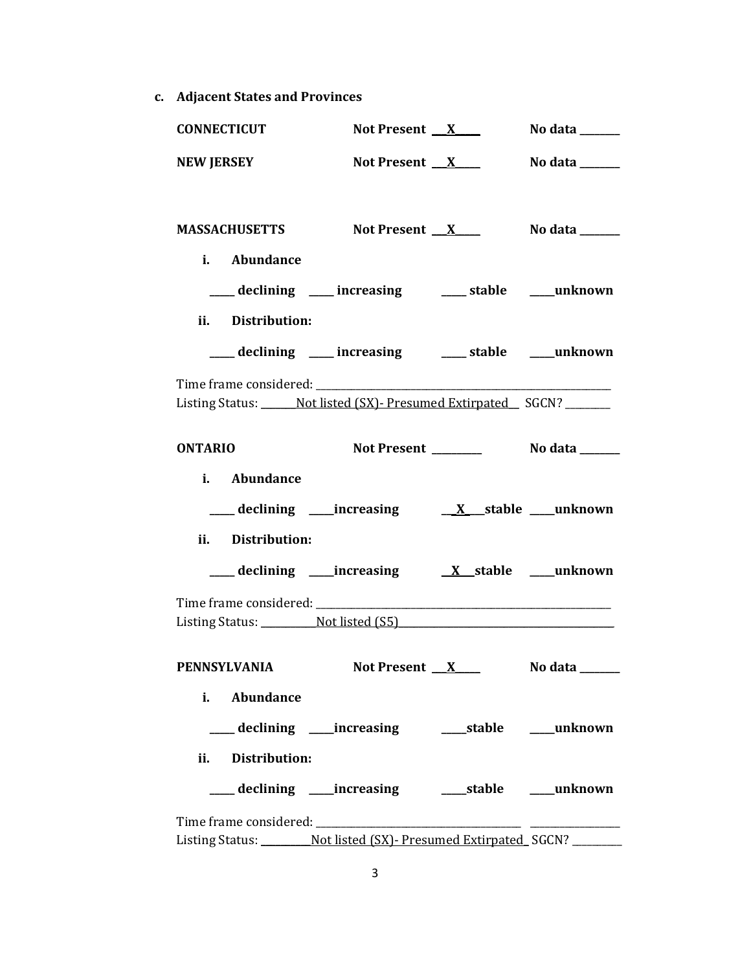**c. Adjacent States and Provinces**

| <b>CONNECTICUT</b>                                          | Not Present $X$                                            | No data $\_\_\_\_\_\_\_\_\_\_\$ |
|-------------------------------------------------------------|------------------------------------------------------------|---------------------------------|
| <b>NEW JERSEY</b>                                           | Not Present $X$                                            | No data ______                  |
|                                                             |                                                            |                                 |
| MASSACHUSETTS Not Present X                                 |                                                            | No data ______                  |
| i. Abundance                                                |                                                            |                                 |
|                                                             | ___ declining ___ increasing ___ stable ___ unknown        |                                 |
| ii. Distribution:                                           |                                                            |                                 |
|                                                             | ___ declining ___ increasing ____ stable ___unknown        |                                 |
|                                                             |                                                            |                                 |
| Listing Status: Not listed (SX) - Presumed Extirpated SGCN? |                                                            |                                 |
| <b>ONTARIO</b>                                              |                                                            |                                 |
| i. Abundance                                                |                                                            |                                 |
|                                                             |                                                            |                                 |
| ii. Distribution:                                           |                                                            |                                 |
|                                                             |                                                            |                                 |
|                                                             |                                                            |                                 |
| Listing Status: Not listed (S5)                             |                                                            |                                 |
| PENNSYLVANIA Not Present X No data                          |                                                            |                                 |
| Abundance<br>i.                                             |                                                            |                                 |
|                                                             | ___ declining ____increasing ______stable ____unknown      |                                 |
| ii. Distribution:                                           |                                                            |                                 |
|                                                             |                                                            |                                 |
|                                                             |                                                            |                                 |
|                                                             | Listing Status: Not listed (SX)- Presumed Extirpated SGCN? |                                 |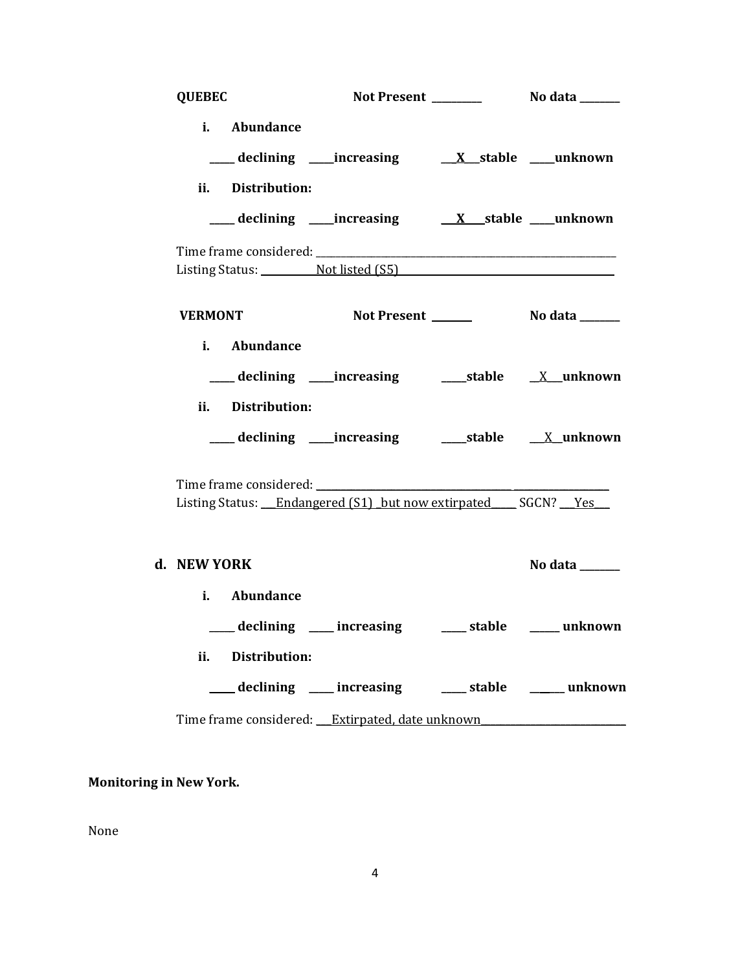| <b>QUEBEC</b>                        |                                                                |                                  |
|--------------------------------------|----------------------------------------------------------------|----------------------------------|
| i. Abundance<br>ii. Distribution:    | ___ declining ___increasing ____ <u>X__</u> stable ____unknown |                                  |
|                                      |                                                                |                                  |
|                                      | Listing Status: Not listed (S5)                                |                                  |
| <b>VERMONT</b>                       |                                                                |                                  |
| i. Abundance<br>ii. Distribution:    | ___ declining ____increasing ______stable _____X__unknown      |                                  |
|                                      | ___ declining ____increasing ______stable ____X_unknown        |                                  |
|                                      | Listing Status: Endangered (S1) but now extirpated SGCN? Yes   |                                  |
| d. NEW YORK                          |                                                                | No data $\_\_\_\_\_\_\_\_\_\_\_$ |
| i. Abundance<br>Distribution:<br>ii. | declining ___ increasing ____ stable ____ unknown              |                                  |
|                                      | declining ___ increasing ____ stable _____ unknown             |                                  |
|                                      | Time frame considered: Extirpated, date unknown                |                                  |

**Monitoring in New York.**

None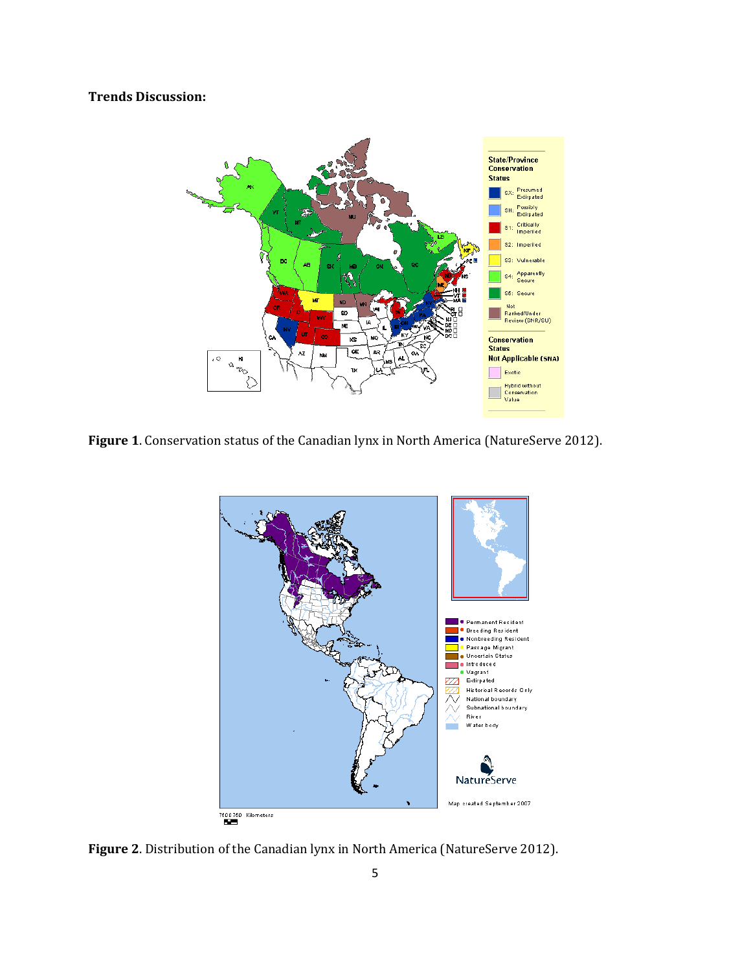## **Trends Discussion:**



**Figure 1**. Conservation status of the Canadian lynx in North America (NatureServe 2012).



**Figure 2**. Distribution of the Canadian lynx in North America (NatureServe 2012).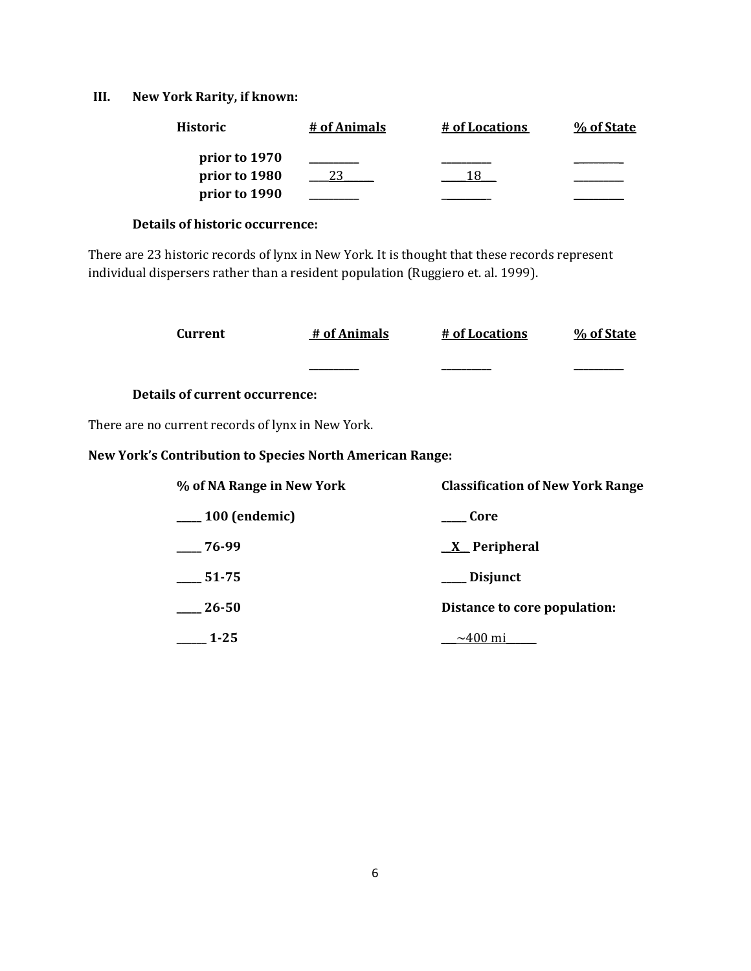## **III. New York Rarity, if known:**

| <b>Historic</b> | # of Animals | # of Locations | % of State |
|-----------------|--------------|----------------|------------|
| prior to 1970   |              |                |            |
| prior to 1980   |              |                |            |
| prior to 1990   |              |                |            |

### **Details of historic occurrence:**

There are 23 historic records of lynx in New York. It is thought that these records represent individual dispersers rather than a resident population (Ruggiero et. al. 1999).

| Current                                                         | # of Animals | # of Locations                          | % of State |
|-----------------------------------------------------------------|--------------|-----------------------------------------|------------|
|                                                                 |              |                                         |            |
| <b>Details of current occurrence:</b>                           |              |                                         |            |
| There are no current records of lynx in New York.               |              |                                         |            |
| <b>New York's Contribution to Species North American Range:</b> |              |                                         |            |
| % of NA Range in New York                                       |              | <b>Classification of New York Range</b> |            |
| $\mu$ 100 (endemic)                                             |              | Core                                    |            |
| 76-99                                                           |              | <u>X</u> Peripheral                     |            |
| 51-75                                                           |              | Disjunct                                |            |
| $26 - 50$                                                       |              | Distance to core population:            |            |

**\_\_\_\_\_\_ 1-25** \_\_\_~400 mi\_\_\_\_\_\_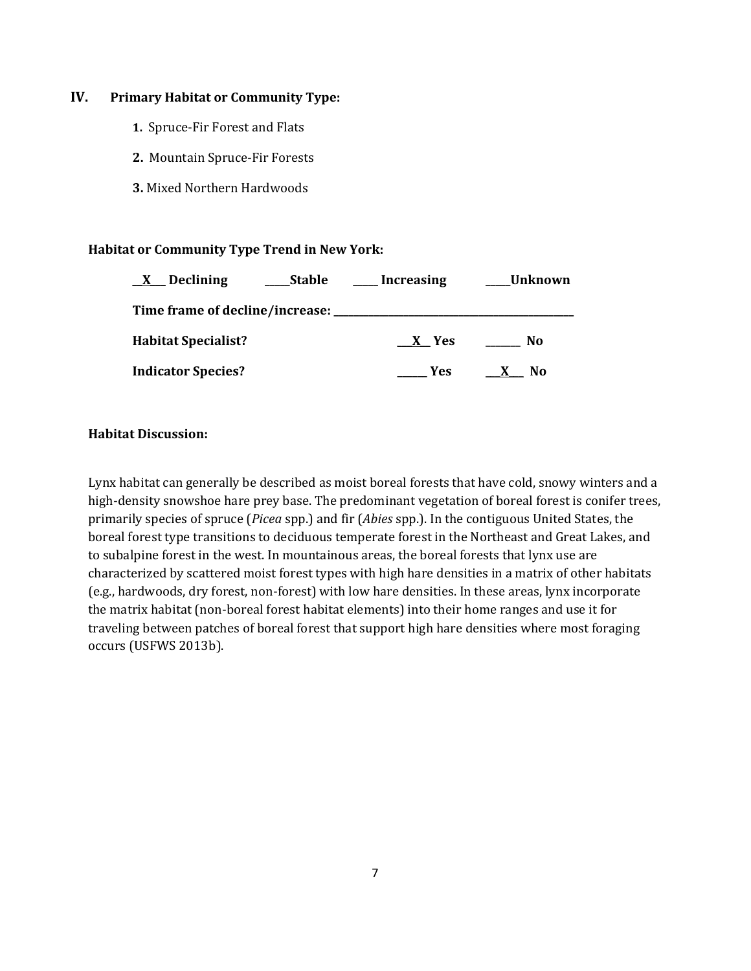### **IV. Primary Habitat or Community Type:**

- **1.** Spruce-Fir Forest and Flats
- **2.** Mountain Spruce-Fir Forests
- **3.** Mixed Northern Hardwoods

### **Habitat or Community Type Trend in New York:**

| $\underline{X}$ Declining                        | Stable | <b>Increasing</b> | Unknown                        |
|--------------------------------------------------|--------|-------------------|--------------------------------|
| Time frame of decline/increase: ________________ |        |                   |                                |
| <b>Habitat Specialist?</b>                       |        | X Yes             | No                             |
| <b>Indicator Species?</b>                        |        | <b>Yes</b>        | N <sub>0</sub><br>$\mathbf{X}$ |

#### **Habitat Discussion:**

Lynx habitat can generally be described as moist boreal forests that have cold, snowy winters and a high-density snowshoe hare prey base. The predominant vegetation of boreal forest is conifer trees, primarily species of spruce (*Picea* spp.) and fir (*Abies* spp.). In the contiguous United States, the boreal forest type transitions to deciduous temperate forest in the Northeast and Great Lakes, and to subalpine forest in the west. In mountainous areas, the boreal forests that lynx use are characterized by scattered moist forest types with high hare densities in a matrix of other habitats (e.g., hardwoods, dry forest, non-forest) with low hare densities. In these areas, lynx incorporate the matrix habitat (non-boreal forest habitat elements) into their home ranges and use it for traveling between patches of boreal forest that support high hare densities where most foraging occurs (USFWS 2013b).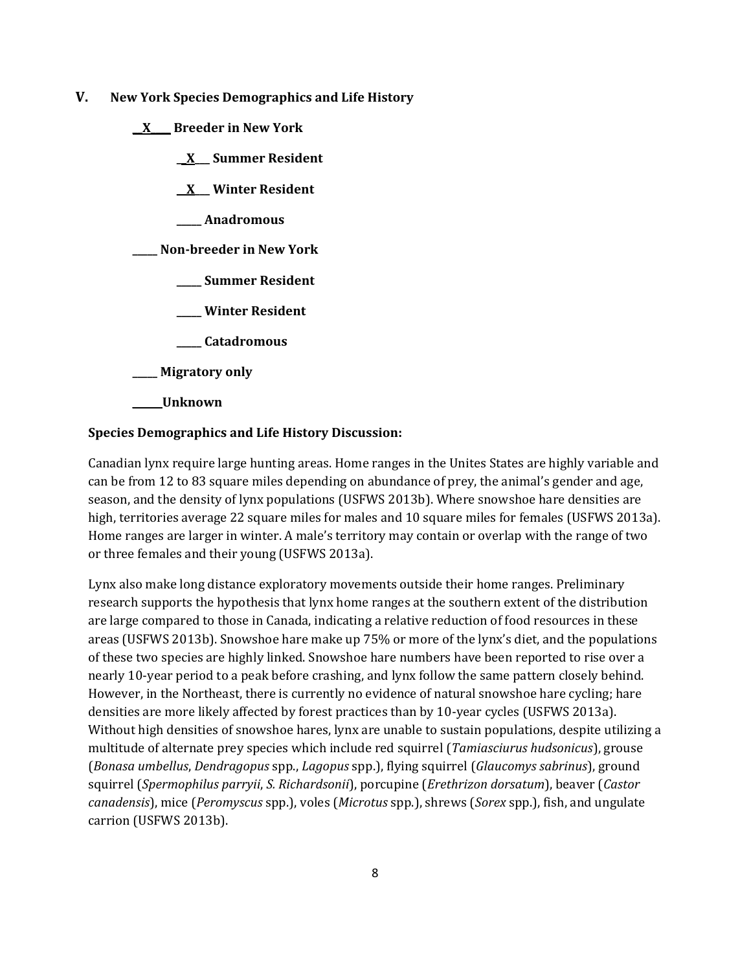- **V. New York Species Demographics and Life History**
	- **\_\_X\_\_\_\_ Breeder in New York**
		- **\_\_X\_\_\_ Summer Resident**
		- **\_\_X\_\_\_ Winter Resident**
		- **\_\_\_\_\_ Anadromous**

**\_\_\_\_\_ Non-breeder in New York**

- **\_\_\_\_\_ Summer Resident**
- **\_\_\_\_\_ Winter Resident**
- **\_\_\_\_\_ Catadromous**
- **\_\_\_\_\_ Migratory only**
- \_\_\_\_\_\_**Unknown**

## **Species Demographics and Life History Discussion:**

Canadian lynx require large hunting areas. Home ranges in the Unites States are highly variable and can be from 12 to 83 square miles depending on abundance of prey, the animal's gender and age, season, and the density of lynx populations (USFWS 2013b). Where snowshoe hare densities are high, territories average 22 square miles for males and 10 square miles for females (USFWS 2013a). Home ranges are larger in winter. A male's territory may contain or overlap with the range of two or three females and their young (USFWS 2013a).

Lynx also make long distance exploratory movements outside their home ranges. Preliminary research supports the hypothesis that lynx home ranges at the southern extent of the distribution are large compared to those in Canada, indicating a relative reduction of food resources in these areas (USFWS 2013b). Snowshoe hare make up 75% or more of the lynx's diet, and the populations of these two species are highly linked. Snowshoe hare numbers have been reported to rise over a nearly 10-year period to a peak before crashing, and lynx follow the same pattern closely behind. However, in the Northeast, there is currently no evidence of natural snowshoe hare cycling; hare densities are more likely affected by forest practices than by 10-year cycles (USFWS 2013a). Without high densities of snowshoe hares, lynx are unable to sustain populations, despite utilizing a multitude of alternate prey species which include red squirrel (*Tamiasciurus hudsonicus*), grouse (*Bonasa umbellus*, *Dendragopus* spp., *Lagopus* spp.), flying squirrel (*Glaucomys sabrinus*), ground squirrel (*Spermophilus parryii*, *S. Richardsonii*), porcupine (*Erethrizon dorsatum*), beaver (*Castor canadensis*), mice (*Peromyscus* spp.), voles (*Microtus* spp.), shrews (*Sorex* spp.), fish, and ungulate carrion (USFWS 2013b).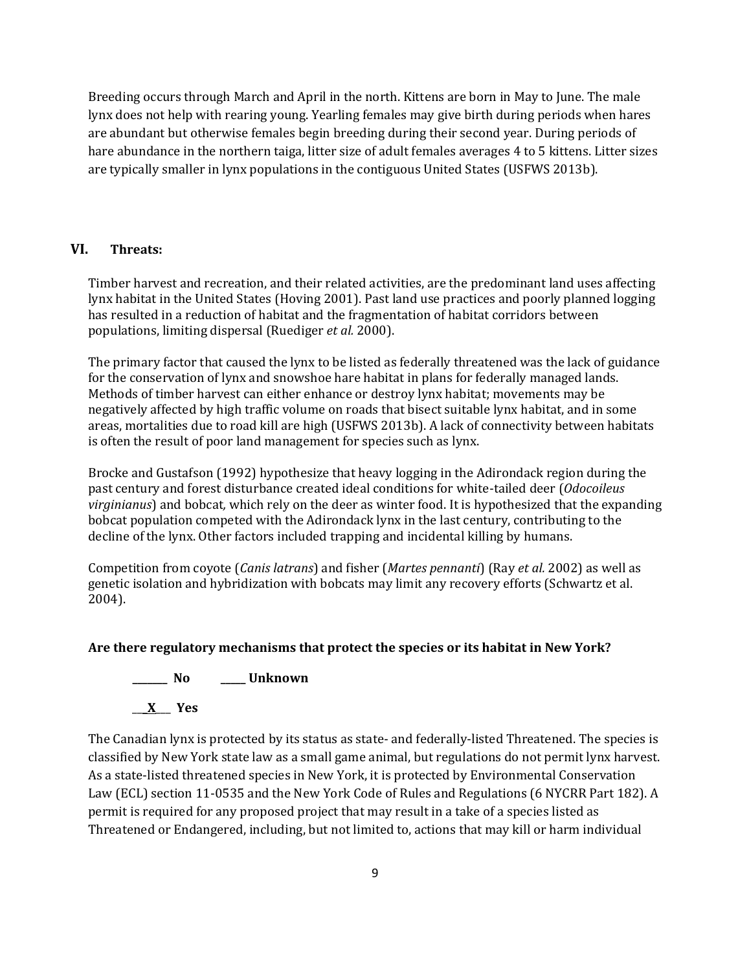Breeding occurs through March and April in the north. Kittens are born in May to June. The male lynx does not help with rearing young. Yearling females may give birth during periods when hares are abundant but otherwise females begin breeding during their second year. During periods of hare abundance in the northern taiga, litter size of adult females averages 4 to 5 kittens. Litter sizes are typically smaller in lynx populations in the contiguous United States (USFWS 2013b).

### **VI. Threats:**

Timber harvest and recreation, and their related activities, are the predominant land uses affecting lynx habitat in the United States (Hoving 2001). Past land use practices and poorly planned logging has resulted in a reduction of habitat and the fragmentation of habitat corridors between populations, limiting dispersal (Ruediger *et al.* 2000).

The primary factor that caused the lynx to be listed as federally threatened was the lack of guidance for the conservation of lynx and snowshoe hare habitat in plans for federally managed lands. Methods of timber harvest can either enhance or destroy lynx habitat; movements may be negatively affected by high traffic volume on roads that bisect suitable lynx habitat, and in some areas, mortalities due to road kill are high (USFWS 2013b). A lack of connectivity between habitats is often the result of poor land management for species such as lynx.

Brocke and Gustafson (1992) hypothesize that heavy logging in the Adirondack region during the past century and forest disturbance created ideal conditions for white-tailed deer (*Odocoileus virginianus*) and bobcat*,* which rely on the deer as winter food. It is hypothesized that the expanding bobcat population competed with the Adirondack lynx in the last century, contributing to the decline of the lynx. Other factors included trapping and incidental killing by humans.

Competition from coyote (*Canis latrans*) and fisher (*Martes pennanti*) (Ray *et al.* 2002) as well as genetic isolation and hybridization with bobcats may limit any recovery efforts (Schwartz et al. 2004).

## **Are there regulatory mechanisms that protect the species or its habitat in New York?**

**\_\_\_\_\_\_\_ No \_\_\_\_\_ Unknown**

\_\_\_**X**\_\_\_ **Yes** 

The Canadian lynx is protected by its status as state- and federally-listed Threatened. The species is classified by New York state law as a small game animal, but regulations do not permit lynx harvest. As a state-listed threatened species in New York, it is protected by Environmental Conservation Law (ECL) section 11-0535 and the New York Code of Rules and Regulations (6 NYCRR Part 182). A permit is required for any proposed project that may result in a take of a species listed as Threatened or Endangered, including, but not limited to, actions that may kill or harm individual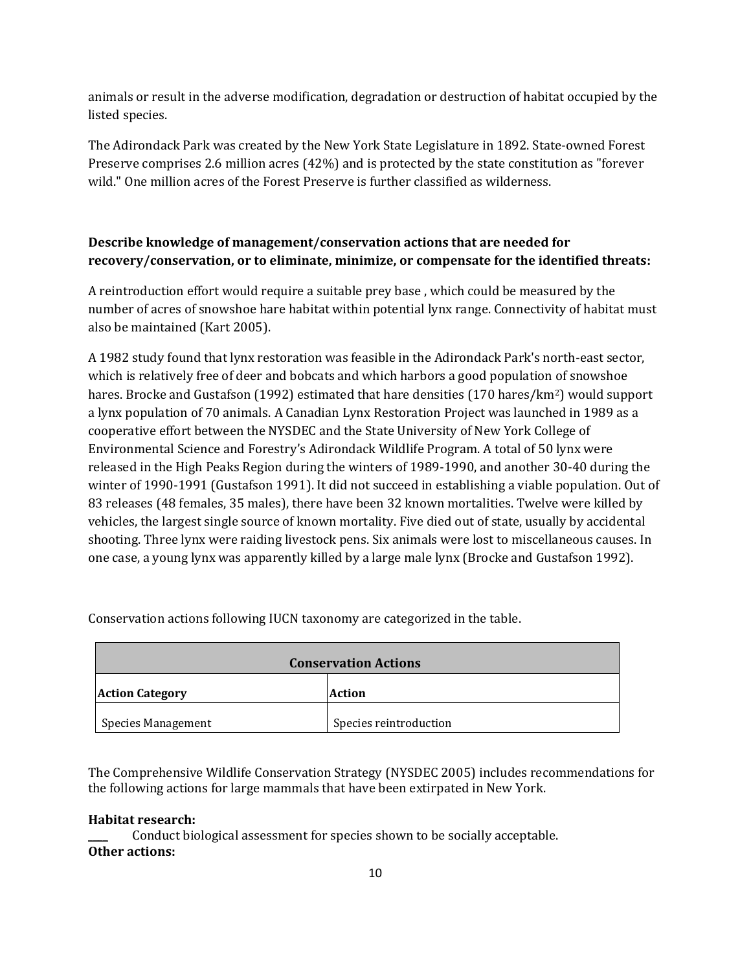animals or result in the adverse modification, degradation or destruction of habitat occupied by the listed species.

The Adirondack Park was created by the New York State Legislature in 1892. State-owned Forest Preserve comprises 2.6 million acres (42%) and is protected by the state constitution as "forever wild." One million acres of the Forest Preserve is further classified as wilderness.

## **Describe knowledge of management/conservation actions that are needed for recovery/conservation, or to eliminate, minimize, or compensate for the identified threats:**

A reintroduction effort would require a suitable prey base , which could be measured by the number of acres of snowshoe hare habitat within potential lynx range. Connectivity of habitat must also be maintained (Kart 2005).

A 1982 study found that lynx restoration was feasible in the Adirondack Park's north-east sector, which is relatively free of deer and bobcats and which harbors a good population of snowshoe hares. Brocke and Gustafson (1992) estimated that hare densities (170 hares/km<sup>2</sup>) would support a lynx population of 70 animals. A Canadian Lynx Restoration Project was launched in 1989 as a cooperative effort between the NYSDEC and the State University of New York College of Environmental Science and Forestry's Adirondack Wildlife Program. A total of 50 lynx were released in the High Peaks Region during the winters of 1989-1990, and another 30-40 during the winter of 1990-1991 (Gustafson 1991). It did not succeed in establishing a viable population. Out of 83 releases (48 females, 35 males), there have been 32 known mortalities. Twelve were killed by vehicles, the largest single source of known mortality. Five died out of state, usually by accidental shooting. Three lynx were raiding livestock pens. Six animals were lost to miscellaneous causes. In one case, a young lynx was apparently killed by a large male lynx (Brocke and Gustafson 1992).

| <b>Conservation Actions</b> |                        |  |
|-----------------------------|------------------------|--|
| <b>Action Category</b>      | Action                 |  |
| <b>Species Management</b>   | Species reintroduction |  |

Conservation actions following IUCN taxonomy are categorized in the table.

The Comprehensive Wildlife Conservation Strategy (NYSDEC 2005) includes recommendations for the following actions for large mammals that have been extirpated in New York.

#### **Habitat research:**

Conduct biological assessment for species shown to be socially acceptable. **Other actions:**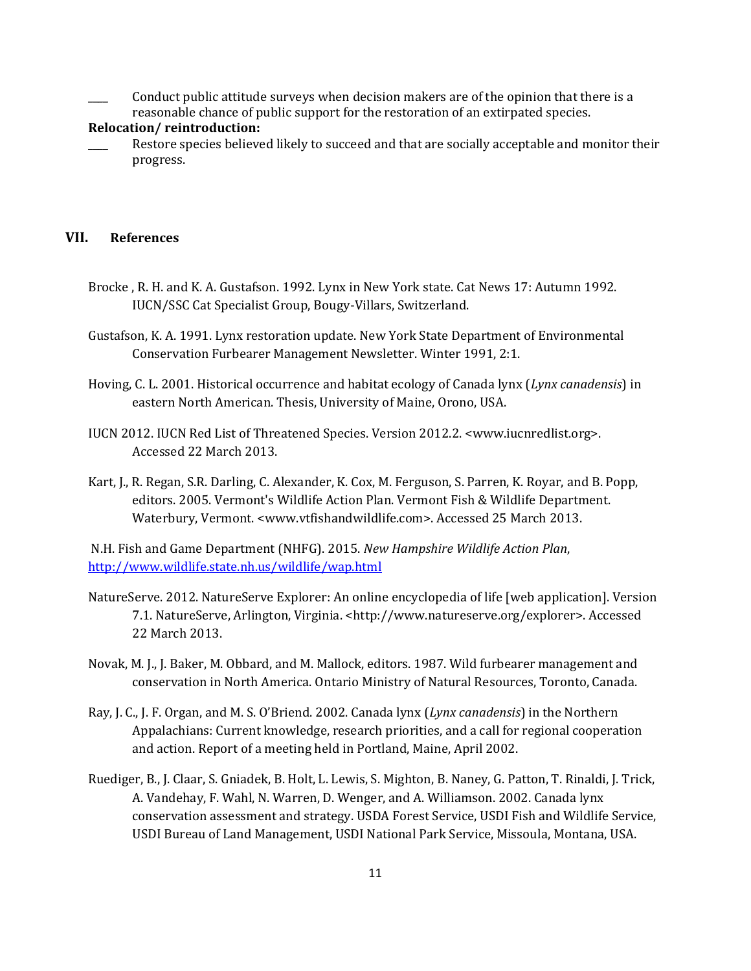\_\_\_\_ Conduct public attitude surveys when decision makers are of the opinion that there is a reasonable chance of public support for the restoration of an extirpated species.

#### **Relocation/ reintroduction:**

Restore species believed likely to succeed and that are socially acceptable and monitor their progress.

## **VII. References**

- Brocke , R. H. and K. A. Gustafson. 1992. Lynx in New York state. Cat News 17: Autumn 1992. IUCN/SSC Cat Specialist Group, Bougy-Villars, Switzerland.
- Gustafson, K. A. 1991. Lynx restoration update. New York State Department of Environmental Conservation Furbearer Management Newsletter. Winter 1991, 2:1.
- Hoving, C. L. 2001. Historical occurrence and habitat ecology of Canada lynx (*Lynx canadensis*) in eastern North American. Thesis, University of Maine, Orono, USA.
- IUCN 2012. IUCN Red List of Threatened Species. Version 2012.2. <www.iucnredlist.org>. Accessed 22 March 2013.
- Kart, J., R. Regan, S.R. Darling, C. Alexander, K. Cox, M. Ferguson, S. Parren, K. Royar, and B. Popp, editors. 2005. Vermont's Wildlife Action Plan. Vermont Fish & Wildlife Department. Waterbury, Vermont. <www.vtfishandwildlife.com>. Accessed 25 March 2013.

N.H. Fish and Game Department (NHFG). 2015. *New Hampshire Wildlife Action Plan*, <http://www.wildlife.state.nh.us/wildlife/wap.html>

- NatureServe. 2012. NatureServe Explorer: An online encyclopedia of life [web application]. Version 7.1. NatureServe, Arlington, Virginia. <http://www.natureserve.org/explorer>. Accessed 22 March 2013.
- Novak, M. J., J. Baker, M. Obbard, and M. Mallock, editors. 1987. Wild furbearer management and conservation in North America. Ontario Ministry of Natural Resources, Toronto, Canada.
- Ray, J. C., J. F. Organ, and M. S. O'Briend. 2002. Canada lynx (*Lynx canadensis*) in the Northern Appalachians: Current knowledge, research priorities, and a call for regional cooperation and action. Report of a meeting held in Portland, Maine, April 2002.
- Ruediger, B., J. Claar, S. Gniadek, B. Holt, L. Lewis, S. Mighton, B. Naney, G. Patton, T. Rinaldi, J. Trick, A. Vandehay, F. Wahl, N. Warren, D. Wenger, and A. Williamson. 2002. Canada lynx conservation assessment and strategy. USDA Forest Service, USDI Fish and Wildlife Service, USDI Bureau of Land Management, USDI National Park Service, Missoula, Montana, USA.